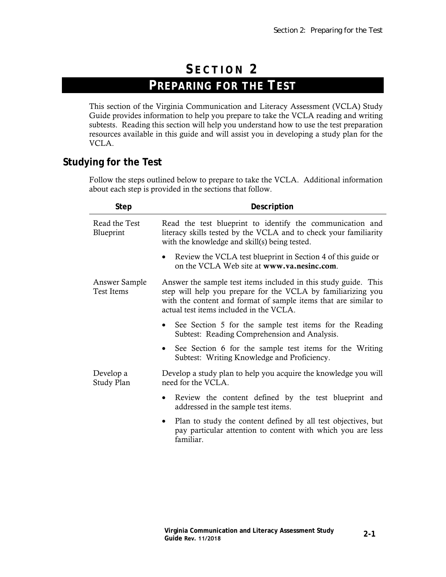# **S ECTION 2 PREPARING FOR THE TEST**

This section of the Virginia Communication and Literacy Assessment (VCLA) Study Guide provides information to help you prepare to take the VCLA reading and writing subtests. Reading this section will help you understand how to use the test preparation resources available in this guide and will assist you in developing a study plan for the VCLA.

### **Studying for the Test**

Follow the steps outlined below to prepare to take the VCLA. Additional information about each step is provided in the sections that follow.

| <b>Step</b>                        | Description                                                                                                                                                                                                                                   |
|------------------------------------|-----------------------------------------------------------------------------------------------------------------------------------------------------------------------------------------------------------------------------------------------|
| Read the Test<br>Blueprint         | Read the test blueprint to identify the communication and<br>literacy skills tested by the VCLA and to check your familiarity<br>with the knowledge and skill(s) being tested.                                                                |
|                                    | Review the VCLA test blueprint in Section 4 of this guide or<br>on the VCLA Web site at www.va.nesinc.com.                                                                                                                                    |
| Answer Sample<br><b>Test Items</b> | Answer the sample test items included in this study guide. This<br>step will help you prepare for the VCLA by familiarizing you<br>with the content and format of sample items that are similar to<br>actual test items included in the VCLA. |
|                                    | See Section 5 for the sample test items for the Reading<br>Subtest: Reading Comprehension and Analysis.                                                                                                                                       |
|                                    | See Section 6 for the sample test items for the Writing<br>Subtest: Writing Knowledge and Proficiency.                                                                                                                                        |
| Develop a<br>Study Plan            | Develop a study plan to help you acquire the knowledge you will<br>need for the VCLA.                                                                                                                                                         |
|                                    | Review the content defined by the test blueprint and<br>addressed in the sample test items.                                                                                                                                                   |
|                                    | Plan to study the content defined by all test objectives, but<br>pay particular attention to content with which you are less<br>familiar.                                                                                                     |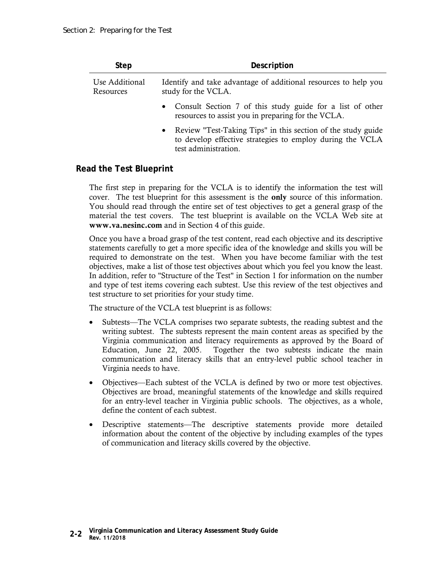| <b>Step</b>                 | Description                                                                                                                                         |
|-----------------------------|-----------------------------------------------------------------------------------------------------------------------------------------------------|
| Use Additional<br>Resources | Identify and take advantage of additional resources to help you<br>study for the VCLA.                                                              |
|                             | • Consult Section 7 of this study guide for a list of other<br>resources to assist you in preparing for the VCLA.                                   |
|                             | • Review "Test-Taking Tips" in this section of the study guide<br>to develop effective strategies to employ during the VCLA<br>test administration. |

#### **Read the Test Blueprint**

The first step in preparing for the VCLA is to identify the information the test will cover. The test blueprint for this assessment is the **only** source of this information. You should read through the entire set of test objectives to get a general grasp of the material the test covers. The test blueprint is available on the VCLA Web site at **www.va.nesinc.com** and in Section 4 of this guide.

Once you have a broad grasp of the test content, read each objective and its descriptive statements carefully to get a more specific idea of the knowledge and skills you will be required to demonstrate on the test. When you have become familiar with the test objectives, make a list of those test objectives about which you feel you know the least. In addition, refer to "Structure of the Test" in Section 1 for information on the number and type of test items covering each subtest. Use this review of the test objectives and test structure to set priorities for your study time.

The structure of the VCLA test blueprint is as follows:

- Subtests—The VCLA comprises two separate subtests, the reading subtest and the writing subtest. The subtests represent the main content areas as specified by the Virginia communication and literacy requirements as approved by the Board of Education, June 22, 2005. Together the two subtests indicate the main communication and literacy skills that an entry-level public school teacher in Virginia needs to have.
- Objectives—Each subtest of the VCLA is defined by two or more test objectives. Objectives are broad, meaningful statements of the knowledge and skills required for an entry-level teacher in Virginia public schools. The objectives, as a whole, define the content of each subtest.
- Descriptive statements—The descriptive statements provide more detailed information about the content of the objective by including examples of the types of communication and literacy skills covered by the objective.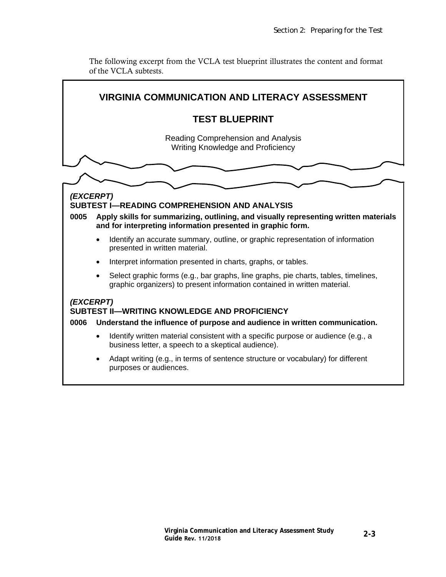The following excerpt from the VCLA test blueprint illustrates the content and format of the VCLA subtests.

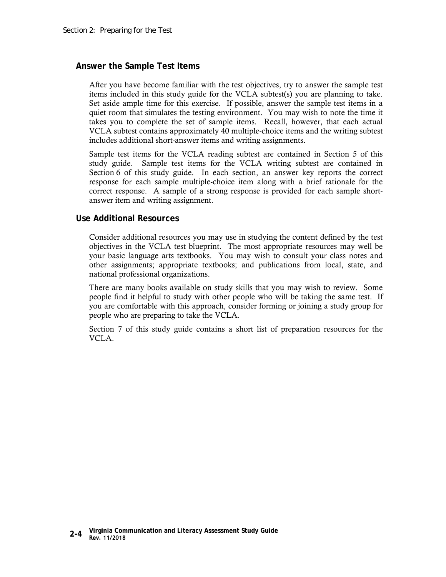#### **Answer the Sample Test Items**

After you have become familiar with the test objectives, try to answer the sample test items included in this study guide for the VCLA subtest(s) you are planning to take. Set aside ample time for this exercise. If possible, answer the sample test items in a quiet room that simulates the testing environment. You may wish to note the time it takes you to complete the set of sample items. Recall, however, that each actual VCLA subtest contains approximately 40 multiple-choice items and the writing subtest includes additional short-answer items and writing assignments.

Sample test items for the VCLA reading subtest are contained in Section 5 of this study guide. Sample test items for the VCLA writing subtest are contained in Section 6 of this study guide. In each section, an answer key reports the correct response for each sample multiple-choice item along with a brief rationale for the correct response. A sample of a strong response is provided for each sample shortanswer item and writing assignment.

#### **Use Additional Resources**

Consider additional resources you may use in studying the content defined by the test objectives in the VCLA test blueprint. The most appropriate resources may well be your basic language arts textbooks. You may wish to consult your class notes and other assignments; appropriate textbooks; and publications from local, state, and national professional organizations.

There are many books available on study skills that you may wish to review. Some people find it helpful to study with other people who will be taking the same test. If you are comfortable with this approach, consider forming or joining a study group for people who are preparing to take the VCLA.

Section 7 of this study guide contains a short list of preparation resources for the VCLA.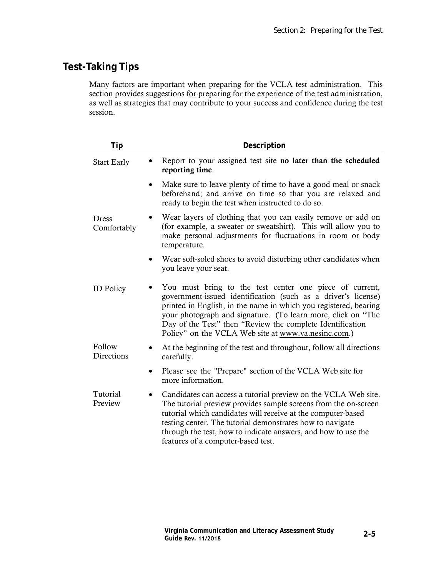## **Test-Taking Tips**

Many factors are important when preparing for the VCLA test administration. This section provides suggestions for preparing for the experience of the test administration, as well as strategies that may contribute to your success and confidence during the test session.

| Tip                         | Description                                                                                                                                                                                                                                                                                                                                                                        |
|-----------------------------|------------------------------------------------------------------------------------------------------------------------------------------------------------------------------------------------------------------------------------------------------------------------------------------------------------------------------------------------------------------------------------|
| <b>Start Early</b>          | Report to your assigned test site no later than the scheduled<br>$\bullet$<br>reporting time.                                                                                                                                                                                                                                                                                      |
|                             | Make sure to leave plenty of time to have a good meal or snack<br>$\bullet$<br>beforehand; and arrive on time so that you are relaxed and<br>ready to begin the test when instructed to do so.                                                                                                                                                                                     |
| <b>Dress</b><br>Comfortably | Wear layers of clothing that you can easily remove or add on<br>(for example, a sweater or sweatshirt). This will allow you to<br>make personal adjustments for fluctuations in room or body<br>temperature.                                                                                                                                                                       |
|                             | Wear soft-soled shoes to avoid disturbing other candidates when<br>you leave your seat.                                                                                                                                                                                                                                                                                            |
| <b>ID</b> Policy            | You must bring to the test center one piece of current,<br>government-issued identification (such as a driver's license)<br>printed in English, in the name in which you registered, bearing<br>your photograph and signature. (To learn more, click on "The<br>Day of the Test" then "Review the complete Identification<br>Policy" on the VCLA Web site at www.va.nesinc.com.)   |
| Follow<br>Directions        | At the beginning of the test and throughout, follow all directions<br>$\bullet$<br>carefully.                                                                                                                                                                                                                                                                                      |
|                             | Please see the "Prepare" section of the VCLA Web site for<br>$\bullet$<br>more information.                                                                                                                                                                                                                                                                                        |
| Tutorial<br>Preview         | Candidates can access a tutorial preview on the VCLA Web site.<br>$\bullet$<br>The tutorial preview provides sample screens from the on-screen<br>tutorial which candidates will receive at the computer-based<br>testing center. The tutorial demonstrates how to navigate<br>through the test, how to indicate answers, and how to use the<br>features of a computer-based test. |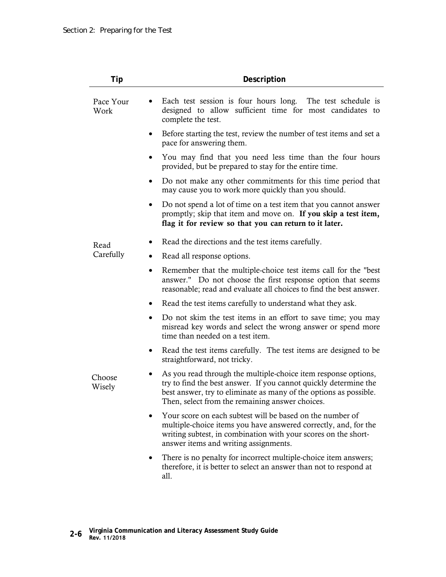| Tip               | Description                                                                                                                                                                                                                                                |
|-------------------|------------------------------------------------------------------------------------------------------------------------------------------------------------------------------------------------------------------------------------------------------------|
| Pace Your<br>Work | Each test session is four hours long. The test schedule is<br>designed to allow sufficient time for most candidates to<br>complete the test.                                                                                                               |
|                   | Before starting the test, review the number of test items and set a<br>٠<br>pace for answering them.                                                                                                                                                       |
|                   | You may find that you need less time than the four hours<br>provided, but be prepared to stay for the entire time.                                                                                                                                         |
|                   | Do not make any other commitments for this time period that<br>may cause you to work more quickly than you should.                                                                                                                                         |
|                   | Do not spend a lot of time on a test item that you cannot answer<br>promptly; skip that item and move on. If you skip a test item,<br>flag it for review so that you can return to it later.                                                               |
| Read              | Read the directions and the test items carefully.                                                                                                                                                                                                          |
| Carefully         | Read all response options.                                                                                                                                                                                                                                 |
|                   | Remember that the multiple-choice test items call for the "best<br>$\bullet$<br>answer." Do not choose the first response option that seems<br>reasonable; read and evaluate all choices to find the best answer.                                          |
|                   | Read the test items carefully to understand what they ask.<br>$\bullet$                                                                                                                                                                                    |
|                   | Do not skim the test items in an effort to save time; you may<br>misread key words and select the wrong answer or spend more<br>time than needed on a test item.                                                                                           |
|                   | Read the test items carefully. The test items are designed to be<br>straightforward, not tricky.                                                                                                                                                           |
| Choose<br>Wisely  | As you read through the multiple-choice item response options,<br>try to find the best answer. If you cannot quickly determine the<br>best answer, try to eliminate as many of the options as possible.<br>Then, select from the remaining answer choices. |
|                   | Your score on each subtest will be based on the number of<br>multiple-choice items you have answered correctly, and, for the<br>writing subtest, in combination with your scores on the short-<br>answer items and writing assignments.                    |
|                   | There is no penalty for incorrect multiple-choice item answers;<br>therefore, it is better to select an answer than not to respond at<br>all.                                                                                                              |